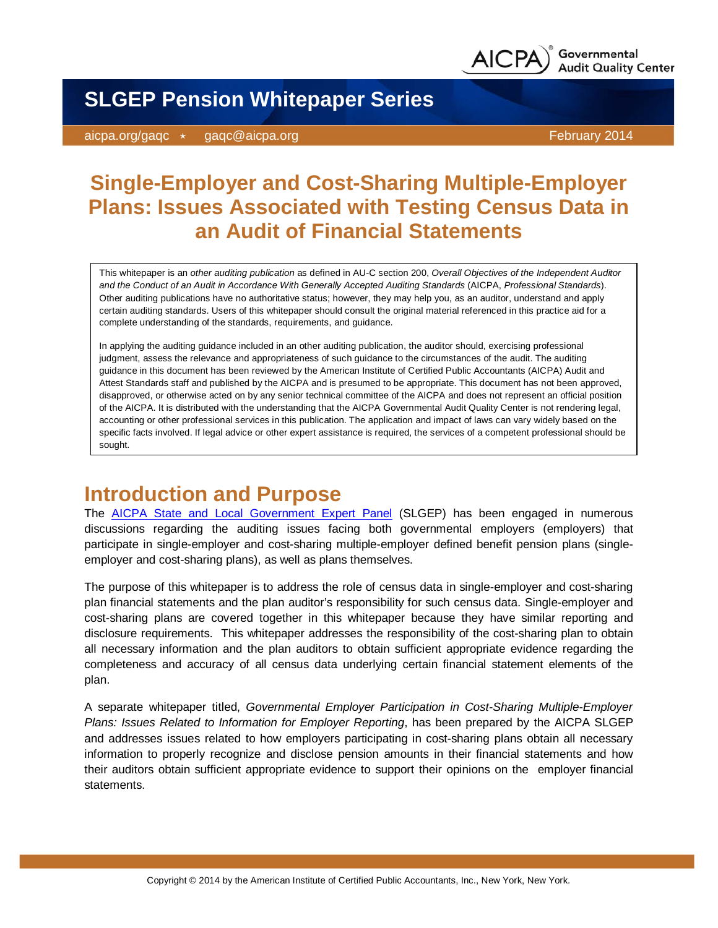

**SLGEP Pension Whitepaper Series**

aicpa.org/gaqc \* gaqc@aicpa.org February 2014

# **Single-Employer and Cost-Sharing Multiple-Employer Plans: Issues Associated with Testing Census Data in an Audit of Financial Statements**

This whitepaper is an *other auditing publication* as defined in AU-C section 200, *Overall Objectives of the Independent Auditor and the Conduct of an Audit in Accordance With Generally Accepted Auditing Standards* (AICPA, *Professional Standards*). Other auditing publications have no authoritative status; however, they may help you, as an auditor, understand and apply certain auditing standards. Users of this whitepaper should consult the original material referenced in this practice aid for a complete understanding of the standards, requirements, and guidance.

In applying the auditing guidance included in an other auditing publication, the auditor should, exercising professional judgment, assess the relevance and appropriateness of such guidance to the circumstances of the audit. The auditing guidance in this document has been reviewed by the American Institute of Certified Public Accountants (AICPA) Audit and Attest Standards staff and published by the AICPA and is presumed to be appropriate. This document has not been approved, disapproved, or otherwise acted on by any senior technical committee of the AICPA and does not represent an official position of the AICPA. It is distributed with the understanding that the AICPA Governmental Audit Quality Center is not rendering legal, accounting or other professional services in this publication. The application and impact of laws can vary widely based on the specific facts involved. If legal advice or other expert assistance is required, the services of a competent professional should be sought.

## **Introduction and Purpose**

The [AICPA State and Local Government Expert Panel](http://www.aicpa.org/InterestAreas/FRC/IndustryInsights/Pages/Expert_Panel_State_and_Local_Governments.aspx) (SLGEP) has been engaged in numerous discussions regarding the auditing issues facing both governmental employers (employers) that participate in single-employer and cost-sharing multiple-employer defined benefit pension plans (singleemployer and cost-sharing plans), as well as plans themselves.

The purpose of this whitepaper is to address the role of census data in single-employer and cost-sharing plan financial statements and the plan auditor's responsibility for such census data. Single-employer and cost-sharing plans are covered together in this whitepaper because they have similar reporting and disclosure requirements. This whitepaper addresses the responsibility of the cost-sharing plan to obtain all necessary information and the plan auditors to obtain sufficient appropriate evidence regarding the completeness and accuracy of all census data underlying certain financial statement elements of the plan.

A separate whitepaper titled, *Governmental Employer Participation in Cost-Sharing Multiple-Employer Plans: Issues Related to Information for Employer Reporting*, has been prepared by the AICPA SLGEP and addresses issues related to how employers participating in cost-sharing plans obtain all necessary information to properly recognize and disclose pension amounts in their financial statements and how their auditors obtain sufficient appropriate evidence to support their opinions on the employer financial statements.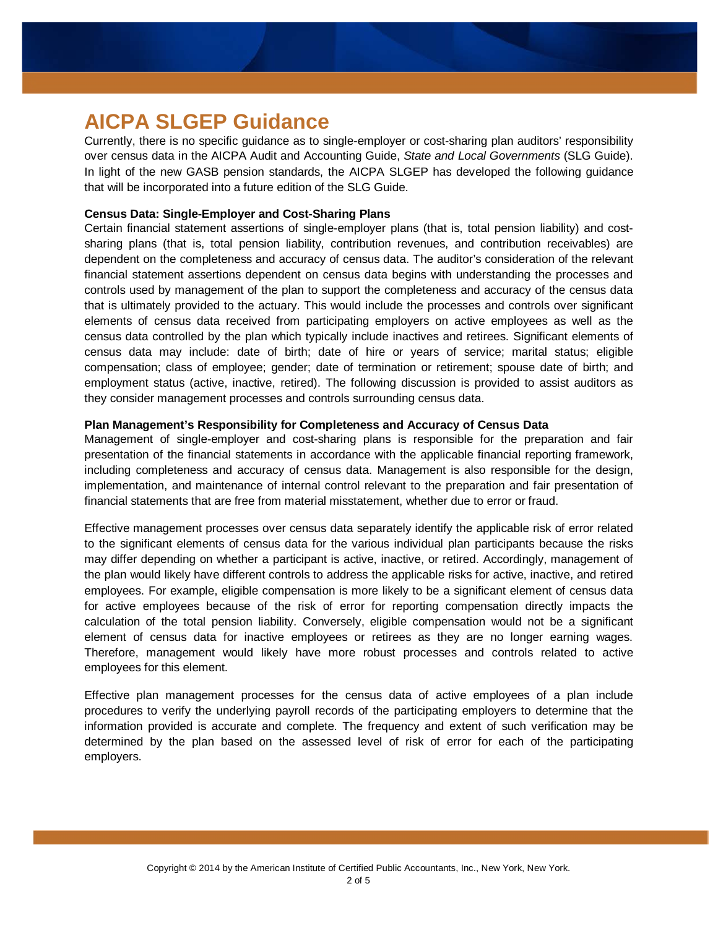## **AICPA SLGEP Guidance**

Currently, there is no specific guidance as to single-employer or cost-sharing plan auditors' responsibility over census data in the AICPA Audit and Accounting Guide, *State and Local Governments* (SLG Guide). In light of the new GASB pension standards, the AICPA SLGEP has developed the following guidance that will be incorporated into a future edition of the SLG Guide.

#### **Census Data: Single-Employer and Cost-Sharing Plans**

Certain financial statement assertions of single-employer plans (that is, total pension liability) and costsharing plans (that is, total pension liability, contribution revenues, and contribution receivables) are dependent on the completeness and accuracy of census data. The auditor's consideration of the relevant financial statement assertions dependent on census data begins with understanding the processes and controls used by management of the plan to support the completeness and accuracy of the census data that is ultimately provided to the actuary. This would include the processes and controls over significant elements of census data received from participating employers on active employees as well as the census data controlled by the plan which typically include inactives and retirees. Significant elements of census data may include: date of birth; date of hire or years of service; marital status; eligible compensation; class of employee; gender; date of termination or retirement; spouse date of birth; and employment status (active, inactive, retired). The following discussion is provided to assist auditors as they consider management processes and controls surrounding census data.

#### **Plan Management's Responsibility for Completeness and Accuracy of Census Data**

Management of single-employer and cost-sharing plans is responsible for the preparation and fair presentation of the financial statements in accordance with the applicable financial reporting framework, including completeness and accuracy of census data. Management is also responsible for the design, implementation, and maintenance of internal control relevant to the preparation and fair presentation of financial statements that are free from material misstatement, whether due to error or fraud.

Effective management processes over census data separately identify the applicable risk of error related to the significant elements of census data for the various individual plan participants because the risks may differ depending on whether a participant is active, inactive, or retired. Accordingly, management of the plan would likely have different controls to address the applicable risks for active, inactive, and retired employees. For example, eligible compensation is more likely to be a significant element of census data for active employees because of the risk of error for reporting compensation directly impacts the calculation of the total pension liability. Conversely, eligible compensation would not be a significant element of census data for inactive employees or retirees as they are no longer earning wages. Therefore, management would likely have more robust processes and controls related to active employees for this element.

Effective plan management processes for the census data of active employees of a plan include procedures to verify the underlying payroll records of the participating employers to determine that the information provided is accurate and complete. The frequency and extent of such verification may be determined by the plan based on the assessed level of risk of error for each of the participating employers.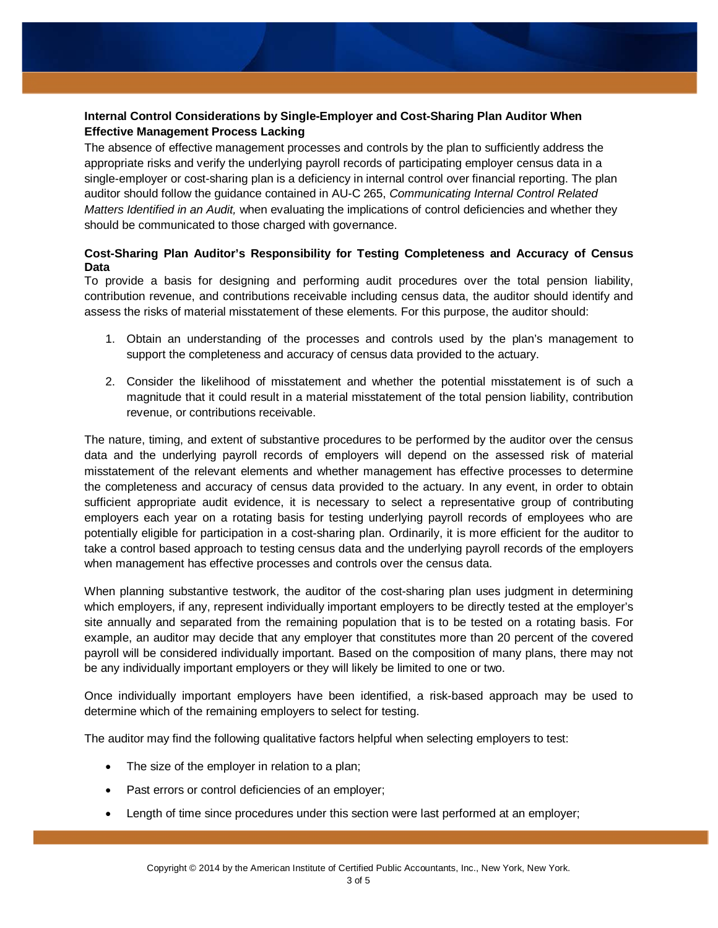### **Internal Control Considerations by Single-Employer and Cost-Sharing Plan Auditor When Effective Management Process Lacking**

The absence of effective management processes and controls by the plan to sufficiently address the appropriate risks and verify the underlying payroll records of participating employer census data in a single-employer or cost-sharing plan is a deficiency in internal control over financial reporting. The plan auditor should follow the guidance contained in AU-C 265, *Communicating Internal Control Related Matters Identified in an Audit,* when evaluating the implications of control deficiencies and whether they should be communicated to those charged with governance.

### **Cost-Sharing Plan Auditor's Responsibility for Testing Completeness and Accuracy of Census Data**

To provide a basis for designing and performing audit procedures over the total pension liability, contribution revenue, and contributions receivable including census data, the auditor should identify and assess the risks of material misstatement of these elements. For this purpose, the auditor should:

- 1. Obtain an understanding of the processes and controls used by the plan's management to support the completeness and accuracy of census data provided to the actuary.
- 2. Consider the likelihood of misstatement and whether the potential misstatement is of such a magnitude that it could result in a material misstatement of the total pension liability, contribution revenue, or contributions receivable.

The nature, timing, and extent of substantive procedures to be performed by the auditor over the census data and the underlying payroll records of employers will depend on the assessed risk of material misstatement of the relevant elements and whether management has effective processes to determine the completeness and accuracy of census data provided to the actuary. In any event, in order to obtain sufficient appropriate audit evidence, it is necessary to select a representative group of contributing employers each year on a rotating basis for testing underlying payroll records of employees who are potentially eligible for participation in a cost-sharing plan. Ordinarily, it is more efficient for the auditor to take a control based approach to testing census data and the underlying payroll records of the employers when management has effective processes and controls over the census data.

When planning substantive testwork, the auditor of the cost-sharing plan uses judgment in determining which employers, if any, represent individually important employers to be directly tested at the employer's site annually and separated from the remaining population that is to be tested on a rotating basis. For example, an auditor may decide that any employer that constitutes more than 20 percent of the covered payroll will be considered individually important. Based on the composition of many plans, there may not be any individually important employers or they will likely be limited to one or two.

Once individually important employers have been identified, a risk-based approach may be used to determine which of the remaining employers to select for testing.

The auditor may find the following qualitative factors helpful when selecting employers to test:

- The size of the employer in relation to a plan;
- Past errors or control deficiencies of an employer;
- Length of time since procedures under this section were last performed at an employer;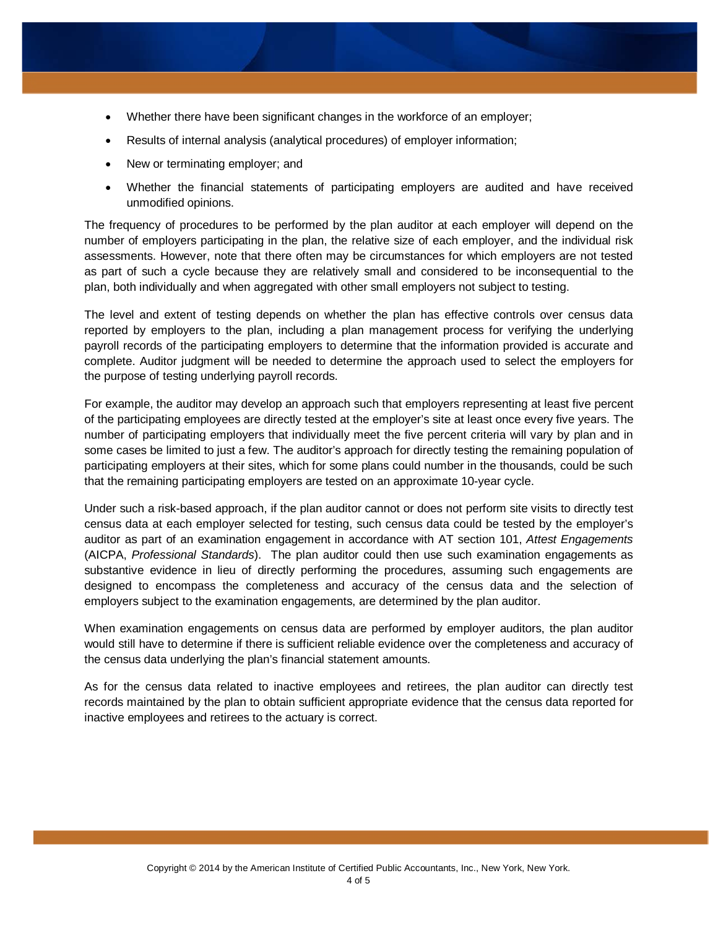- Whether there have been significant changes in the workforce of an employer;
- Results of internal analysis (analytical procedures) of employer information;
- New or terminating employer; and
- Whether the financial statements of participating employers are audited and have received unmodified opinions.

The frequency of procedures to be performed by the plan auditor at each employer will depend on the number of employers participating in the plan, the relative size of each employer, and the individual risk assessments. However, note that there often may be circumstances for which employers are not tested as part of such a cycle because they are relatively small and considered to be inconsequential to the plan, both individually and when aggregated with other small employers not subject to testing.

The level and extent of testing depends on whether the plan has effective controls over census data reported by employers to the plan, including a plan management process for verifying the underlying payroll records of the participating employers to determine that the information provided is accurate and complete. Auditor judgment will be needed to determine the approach used to select the employers for the purpose of testing underlying payroll records.

For example, the auditor may develop an approach such that employers representing at least five percent of the participating employees are directly tested at the employer's site at least once every five years. The number of participating employers that individually meet the five percent criteria will vary by plan and in some cases be limited to just a few. The auditor's approach for directly testing the remaining population of participating employers at their sites, which for some plans could number in the thousands, could be such that the remaining participating employers are tested on an approximate 10-year cycle.

Under such a risk-based approach, if the plan auditor cannot or does not perform site visits to directly test census data at each employer selected for testing, such census data could be tested by the employer's auditor as part of an examination engagement in accordance with AT section 101, *Attest Engagements* (AICPA, *Professional Standards*). The plan auditor could then use such examination engagements as substantive evidence in lieu of directly performing the procedures, assuming such engagements are designed to encompass the completeness and accuracy of the census data and the selection of employers subject to the examination engagements, are determined by the plan auditor.

When examination engagements on census data are performed by employer auditors, the plan auditor would still have to determine if there is sufficient reliable evidence over the completeness and accuracy of the census data underlying the plan's financial statement amounts.

As for the census data related to inactive employees and retirees, the plan auditor can directly test records maintained by the plan to obtain sufficient appropriate evidence that the census data reported for inactive employees and retirees to the actuary is correct.